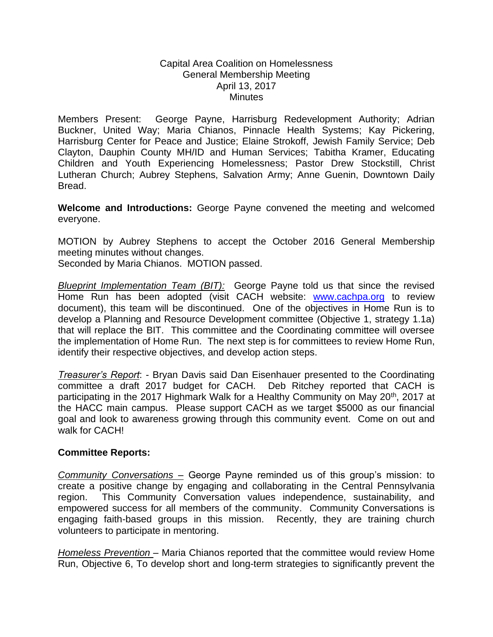## Capital Area Coalition on Homelessness General Membership Meeting April 13, 2017 **Minutes**

Members Present: George Payne, Harrisburg Redevelopment Authority; Adrian Buckner, United Way; Maria Chianos, Pinnacle Health Systems; Kay Pickering, Harrisburg Center for Peace and Justice; Elaine Strokoff, Jewish Family Service; Deb Clayton, Dauphin County MH/ID and Human Services; Tabitha Kramer, Educating Children and Youth Experiencing Homelessness; Pastor Drew Stockstill, Christ Lutheran Church; Aubrey Stephens, Salvation Army; Anne Guenin, Downtown Daily Bread.

**Welcome and Introductions:** George Payne convened the meeting and welcomed everyone.

MOTION by Aubrey Stephens to accept the October 2016 General Membership meeting minutes without changes.

Seconded by Maria Chianos. MOTION passed.

*Blueprint Implementation Team (BIT):* George Payne told us that since the revised Home Run has been adopted (visit CACH website: [www.cachpa.org](http://www.cachpa.org/) to review document), this team will be discontinued. One of the objectives in Home Run is to develop a Planning and Resource Development committee (Objective 1, strategy 1.1a) that will replace the BIT. This committee and the Coordinating committee will oversee the implementation of Home Run. The next step is for committees to review Home Run, identify their respective objectives, and develop action steps.

*Treasurer's Report*: - Bryan Davis said Dan Eisenhauer presented to the Coordinating committee a draft 2017 budget for CACH. Deb Ritchey reported that CACH is participating in the 2017 Highmark Walk for a Healthy Community on May 20th, 2017 at the HACC main campus. Please support CACH as we target \$5000 as our financial goal and look to awareness growing through this community event. Come on out and walk for CACH!

## **Committee Reports:**

*Community Conversations –* George Payne reminded us of this group's mission: to create a positive change by engaging and collaborating in the Central Pennsylvania region. This Community Conversation values independence, sustainability, and empowered success for all members of the community. Community Conversations is engaging faith-based groups in this mission. Recently, they are training church volunteers to participate in mentoring.

*Homeless Prevention –* Maria Chianos reported that the committee would review Home Run, Objective 6, To develop short and long-term strategies to significantly prevent the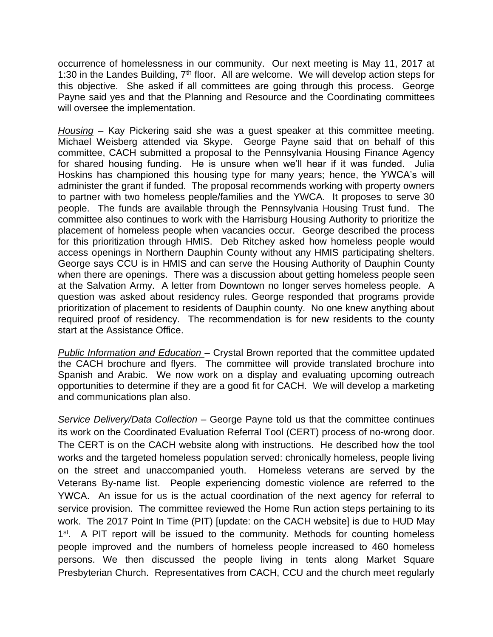occurrence of homelessness in our community. Our next meeting is May 11, 2017 at 1:30 in the Landes Building,  $7<sup>th</sup>$  floor. All are welcome. We will develop action steps for this objective. She asked if all committees are going through this process. George Payne said yes and that the Planning and Resource and the Coordinating committees will oversee the implementation.

*Housing* – Kay Pickering said she was a guest speaker at this committee meeting. Michael Weisberg attended via Skype. George Payne said that on behalf of this committee, CACH submitted a proposal to the Pennsylvania Housing Finance Agency for shared housing funding. He is unsure when we'll hear if it was funded. Julia Hoskins has championed this housing type for many years; hence, the YWCA's will administer the grant if funded. The proposal recommends working with property owners to partner with two homeless people/families and the YWCA. It proposes to serve 30 people. The funds are available through the Pennsylvania Housing Trust fund. The committee also continues to work with the Harrisburg Housing Authority to prioritize the placement of homeless people when vacancies occur. George described the process for this prioritization through HMIS. Deb Ritchey asked how homeless people would access openings in Northern Dauphin County without any HMIS participating shelters. George says CCU is in HMIS and can serve the Housing Authority of Dauphin County when there are openings. There was a discussion about getting homeless people seen at the Salvation Army. A letter from Downtown no longer serves homeless people. A question was asked about residency rules. George responded that programs provide prioritization of placement to residents of Dauphin county. No one knew anything about required proof of residency. The recommendation is for new residents to the county start at the Assistance Office.

*Public Information and Education* – Crystal Brown reported that the committee updated the CACH brochure and flyers. The committee will provide translated brochure into Spanish and Arabic. We now work on a display and evaluating upcoming outreach opportunities to determine if they are a good fit for CACH. We will develop a marketing and communications plan also.

*Service Delivery/Data Collection* – George Payne told us that the committee continues its work on the Coordinated Evaluation Referral Tool (CERT) process of no-wrong door. The CERT is on the CACH website along with instructions. He described how the tool works and the targeted homeless population served: chronically homeless, people living on the street and unaccompanied youth. Homeless veterans are served by the Veterans By-name list. People experiencing domestic violence are referred to the YWCA. An issue for us is the actual coordination of the next agency for referral to service provision. The committee reviewed the Home Run action steps pertaining to its work. The 2017 Point In Time (PIT) [update: on the CACH website] is due to HUD May 1<sup>st</sup>. A PIT report will be issued to the community. Methods for counting homeless people improved and the numbers of homeless people increased to 460 homeless persons. We then discussed the people living in tents along Market Square Presbyterian Church. Representatives from CACH, CCU and the church meet regularly